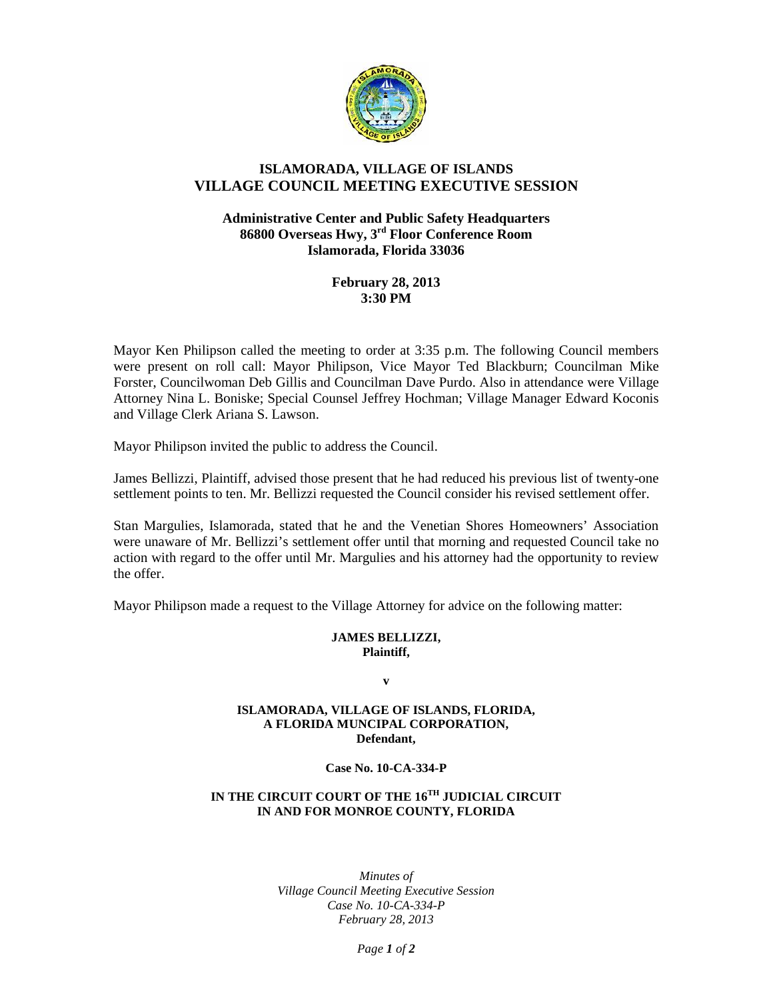

# **ISLAMORADA, VILLAGE OF ISLANDS VILLAGE COUNCIL MEETING EXECUTIVE SESSION**

## **Administrative Center and Public Safety Headquarters 86800 Overseas Hwy, 3rd Floor Conference Room Islamorada, Florida 33036**

# **February 28, 2013 3:30 PM**

Mayor Ken Philipson called the meeting to order at 3:35 p.m. The following Council members were present on roll call: Mayor Philipson, Vice Mayor Ted Blackburn; Councilman Mike Forster, Councilwoman Deb Gillis and Councilman Dave Purdo. Also in attendance were Village Attorney Nina L. Boniske; Special Counsel Jeffrey Hochman; Village Manager Edward Koconis and Village Clerk Ariana S. Lawson.

Mayor Philipson invited the public to address the Council.

James Bellizzi, Plaintiff, advised those present that he had reduced his previous list of twenty-one settlement points to ten. Mr. Bellizzi requested the Council consider his revised settlement offer.

Stan Margulies, Islamorada, stated that he and the Venetian Shores Homeowners' Association were unaware of Mr. Bellizzi's settlement offer until that morning and requested Council take no action with regard to the offer until Mr. Margulies and his attorney had the opportunity to review the offer.

Mayor Philipson made a request to the Village Attorney for advice on the following matter:

## **JAMES BELLIZZI, Plaintiff,**

**v**

#### **ISLAMORADA, VILLAGE OF ISLANDS, FLORIDA, A FLORIDA MUNCIPAL CORPORATION, Defendant,**

#### **Case No. 10-CA-334-P**

## **IN THE CIRCUIT COURT OF THE 16TH JUDICIAL CIRCUIT IN AND FOR MONROE COUNTY, FLORIDA**

*Minutes of Village Council Meeting Executive Session Case No. 10-CA-334-P February 28, 2013*